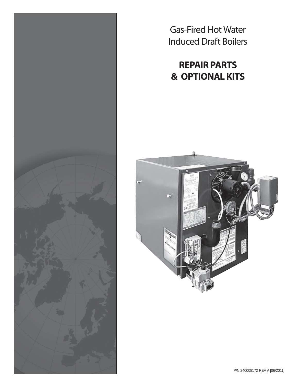

Gas-Fired Hot Water Induced Draft Boilers

# **REPAIR PARTS & OPTIONAL KITS**

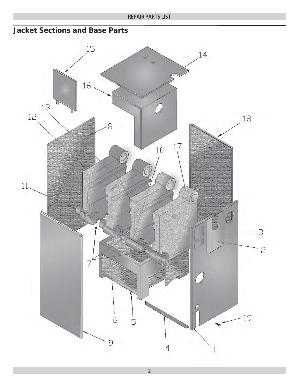### **Jacket Sections and Base Parts**



**2**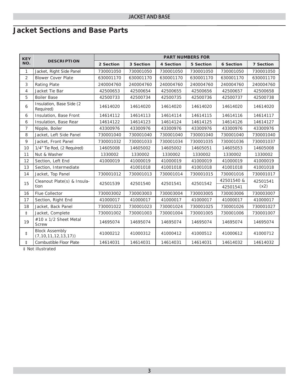## **Jacket Sections and Base Parts**

| <b>KEY</b>     | <b>DESCRIPTION</b>                                | <b>PART NUMBERS FOR</b> |           |           |                  |                  |                  |  |
|----------------|---------------------------------------------------|-------------------------|-----------|-----------|------------------|------------------|------------------|--|
| NO.            |                                                   | 2 Section               | 3 Section | 4 Section | <b>5 Section</b> | <b>6 Section</b> | <b>7 Section</b> |  |
| $\mathbf{1}$   | Jacket, Right Side Panel                          | 730001050               | 730001050 | 730001050 | 730001050        | 730001050        | 730001050        |  |
| $\overline{2}$ | <b>Blower Cover Plate</b>                         | 630001170               | 630001170 | 630001170 | 630001170        | 630001170        | 630001170        |  |
| 3              | <b>Rating Plate</b>                               | 240004760               | 240004760 | 240004760 | 240004760        | 240004760        | 240004760        |  |
| $\overline{4}$ | Jacket Tie Bar                                    | 42500653                | 42500654  | 42500655  | 42500656         | 42500657         | 42500658         |  |
| 5              | <b>Boiler Base</b>                                | 42500733                | 42500734  | 42500735  | 42500736         | 42500737         | 42500738         |  |
| 6              | Insulation, Base Side (2<br>Required)             | 14614020                | 14614020  | 14614020  | 14614020         | 14614020         | 14614020         |  |
| 6              | Insulation, Base Front                            | 14614112                | 14614113  | 14614114  | 14614115         | 14614116         | 14614117         |  |
| 6              | Insulation, Base Rear                             | 14614122                | 14614123  | 14614124  | 14614125         | 14614126         | 14614127         |  |
| 7              | Nipple, Boiler                                    | 43300976                | 43300976  | 43300976  | 43300976         | 43300976         | 43300976         |  |
| 8              | Jacket, Left Side Panel                           | 730001040               | 730001040 | 730001040 | 730001040        | 730001040        | 730001040        |  |
| $\mathsf{q}$   | Jacket, Front Panel                               | 730001032               | 730001033 | 730001034 | 730001035        | 730001036        | 730001037        |  |
| 10             | 1/4" Tie Rod, (2 Required)                        | 14605008                | 14605002  | 14605002  | 14605051         | 14605053         | 14605008         |  |
| 11             | Nut & Washer                                      | 1330002                 | 1330002   | 1330002   | 1330002          | 1330002          | 1330002          |  |
| 12             | Section, Left End                                 | 41000019                | 41000019  | 41000019  | 41000019         | 41000019         | 41000019         |  |
| 13             | Section, Intermediate                             |                         | 41001018  | 41001018  | 41001018         | 41001018         | 41001018         |  |
| 14             | Jacket, Top Panel                                 | 730001012               | 730001013 | 730001014 | 730001015        | 730001016        | 730001017        |  |
| 15             | Cleanout Plate(s) & Insula-                       | 42501539                | 42501540  | 42501541  | 42501542         | 42501540 &       | 42501541         |  |
|                | tion                                              |                         |           |           |                  | 42501541         | (x2)             |  |
| 16             | Flue Collector                                    | 730003002               | 730003003 | 730003004 | 730003005        | 730003006        | 730003007        |  |
| 17             | Section, Right End                                | 41000017                | 41000017  | 41000017  | 41000017         | 41000017         | 41000017         |  |
| 18             | Jacket, Back Panel                                | 730001022               | 730001023 | 730001024 | 730001025        | 730001026        | 730001027        |  |
| $\ddagger$     | Jacket, Complete                                  | 730001002               | 730001003 | 730001004 | 730001005        | 730001006        | 730001007        |  |
| 19             | #10 x 1/2 Sheet Metal<br><b>Screw</b>             | 14695074                | 14695074  | 14695074  | 14695074         | 14695074         | 14695074         |  |
| $\ddagger$     | <b>Block Assembly</b><br>(7, 10, 11, 12, 13, 17)) | 41000212                | 41000312  | 41000412  | 41000512         | 41000612         | 41000712         |  |
| $\ddagger$     | Combustible Floor Plate                           | 14614031                | 14614031  | 14614031  | 14614031         | 14614032         | 14614032         |  |

*‡ Not illustrated*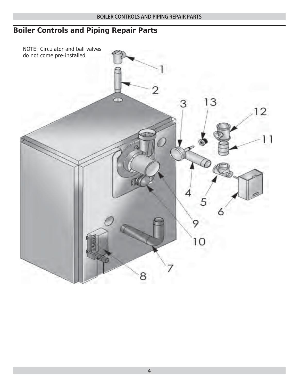## **Boiler Controls and Piping Repair Parts**

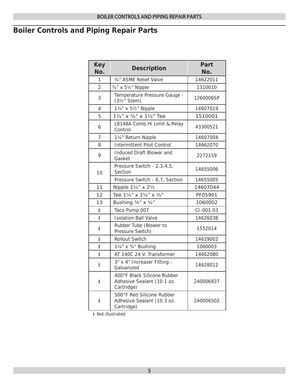# **Boiler Controls and Piping Repair Parts**

| <b>Key</b><br>No. | <b>Description</b>                                                      | Part<br>No. |
|-------------------|-------------------------------------------------------------------------|-------------|
| 1                 | 3/4" ASME Relief Valve                                                  | 14622011    |
| $\overline{2}$    | 3/4" x 51/2" Nipple                                                     | 1310010     |
| 3                 | Temperature Pressure Gauge -<br>$(3y2"$ Stem)                           | 1260006SP   |
| 4                 | 11/4" x 51/2" Nipple                                                    | 14607019    |
| 5                 | 11/4" x 3/4" x 11/4" Tee                                                | 1510001     |
| 6                 | L8148A Comb Hi Limit & Relay<br>Control                                 | 43300521    |
| $\overline{7}$    | 11/4" Return Nipple                                                     | 14607004    |
| 8                 | <b>Intermittent Pilot Control</b>                                       | 14662070    |
| 9                 | Induced Draft Blower and<br>Gasket                                      | 2272159     |
| 10                | Pressure Switch - 2,3,4,5,<br>Section                                   | 14655006    |
|                   | Pressure Switch - 6,7, Section                                          | 14655005    |
| 11                | Nipple 11/4" x 21/2                                                     | 14607044    |
| 12                | Tee 11/4" x 11/4" x 3/4"                                                | PF05901     |
| 13                | Bushing 3/4" x 1/4"                                                     | 1060002     |
| $\ddagger$        | Taco Pump 007                                                           | CI-001.03   |
| $\ddagger$        | <b>Isolation Ball Valve</b>                                             | 14626038    |
| ŧ                 | Rubber Tube (Blower to<br>Pressure Switch)                              | 1552014     |
| $\ddagger$        | <b>Rollout Switch</b>                                                   | 14629002    |
| $\ddagger$        | 11/4" x 3/4" Bushing                                                    | 1060003     |
| $\ddagger$        | AT 140C 24 V. Transformer                                               | 14662080    |
| ŧ                 | 3" x 4" Increaser Fitting -<br>Galvanized                               | 14628012    |
| ŧ                 | 400°F Black Silicone Rubber<br>Adhesive Sealant (10.1 oz.<br>Cartridge) | 240006837   |
| $\ddagger$        | 500°F Red Silicone Rubber<br>Adhesive Sealant (10.3 oz.<br>Cartridge)   | 240006502   |

‡ Not illustrated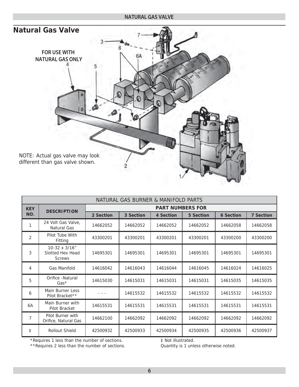#### **NATURAL GAS VALVE**



| NATURAL GAS BURNER & MANIFOLD PARTS |                                                    |                         |           |           |                  |                  |                  |  |  |
|-------------------------------------|----------------------------------------------------|-------------------------|-----------|-----------|------------------|------------------|------------------|--|--|
| <b>KEY</b><br>NO.                   | <b>DESCRIPTION</b>                                 | <b>PART NUMBERS FOR</b> |           |           |                  |                  |                  |  |  |
|                                     |                                                    | 2 Section               | 3 Section | 4 Section | <b>5 Section</b> | <b>6 Section</b> | <b>7 Section</b> |  |  |
|                                     | 24 Volt Gas Valve,<br>Natural Gas                  | 14662052                | 14662052  | 14662052  | 14662052         | 14662058         | 14662058         |  |  |
| $\overline{2}$                      | Pilot Tube With<br>Fitting                         | 43300201                | 43300201  | 43300201  | 43300201         | 43300200         | 43300200         |  |  |
| 3                                   | 10-32 x 3/16"<br>Slotted Hex Head<br><b>Screws</b> | 14695301                | 14695301  | 14695301  | 14695301         | 14695301         | 14695301         |  |  |
| 4                                   | Gas Manifold                                       | 14616042                | 14616043  | 14616044  | 14616045         | 14616024         | 14616025         |  |  |
| 5                                   | Orifice - Natural<br>$Gas*$                        | 14615030                | 14615031  | 14615031  | 14615031         | 14615035         | 14615035         |  |  |
| 6                                   | Main Burner Less<br>Pilot Bracket**                |                         | 14615532  | 14615532  | 14615532         | 14615532         | 14615532         |  |  |
| 6A                                  | Main Burner with<br>Pilot Bracket                  | 14615531                | 14615531  | 14615531  | 14615531         | 14615531         | 14615531         |  |  |
| $\overline{7}$                      | Pilot Burner with<br>Orifice, Natural Gas          | 14662100                | 14662092  | 14662092  | 14662092         | 14662092         | 14662092         |  |  |
| $\ddagger$                          | <b>Rollout Shield</b>                              | 42500932                | 42500933  | 42500934  | 42500935         | 42500936         | 42500937         |  |  |

\*Requires 1 less than the number of sections.

‡ Not illustrated.

\*\*Requires 2 less than the number of sections.

Quantity is 1 unless otherwise noted.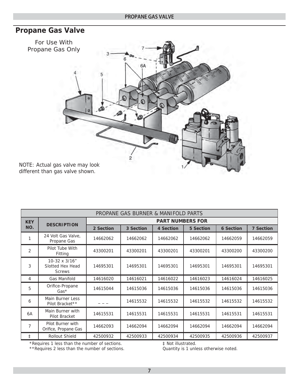### **Propane Gas Valve**



| PROPANE GAS BURNER & MANIFOLD PARTS |                                                    |                         |           |           |                  |                  |                  |  |
|-------------------------------------|----------------------------------------------------|-------------------------|-----------|-----------|------------------|------------------|------------------|--|
| <b>KEY</b><br>NO.                   | <b>DESCRIPTION</b>                                 | <b>PART NUMBERS FOR</b> |           |           |                  |                  |                  |  |
|                                     |                                                    | 2 Section               | 3 Section | 4 Section | <b>5 Section</b> | <b>6 Section</b> | <b>7 Section</b> |  |
|                                     | 24 Volt Gas Valve,<br>Propane Gas                  | 14662062                | 14662062  | 14662062  | 14662062         | 14662059         | 14662059         |  |
| $\overline{2}$                      | Pilot Tube With<br>Fitting                         | 43300201                | 43300201  | 43300201  | 43300201         | 43300200         | 43300200         |  |
| 3                                   | 10-32 x 3/16"<br>Slotted Hex Head<br><b>Screws</b> | 14695301                | 14695301  | 14695301  | 14695301         | 14695301         | 14695301         |  |
| 4                                   | <b>Gas Manifold</b>                                | 14616020                | 14616021  | 14616022  | 14616023         | 14616024         | 14616025         |  |
| 5                                   | Orifice-Propane<br>$Gas*$                          | 14615044                | 14615036  | 14615036  | 14615036         | 14615036         | 14615036         |  |
| 6                                   | Main Burner Less<br>Pilot Bracket**                |                         | 14615532  | 14615532  | 14615532         | 14615532         | 14615532         |  |
| 6A                                  | Main Burner with<br>Pilot Bracket                  | 14615531                | 14615531  | 14615531  | 14615531         | 14615531         | 14615531         |  |
| 7                                   | Pilot Burner with<br>Orifice, Propane Gas          | 14662093                | 14662094  | 14662094  | 14662094         | 14662094         | 14662094         |  |
| $\ddagger$                          | Rollout Shield                                     | 42500932                | 42500933  | 42500934  | 42500935         | 42500936         | 42500937         |  |

\*Requires 1 less than the number of sections.

\*\*Requires 2 less than the number of sections.

‡ Not illustrated.

Quantity is 1 unless otherwise noted.